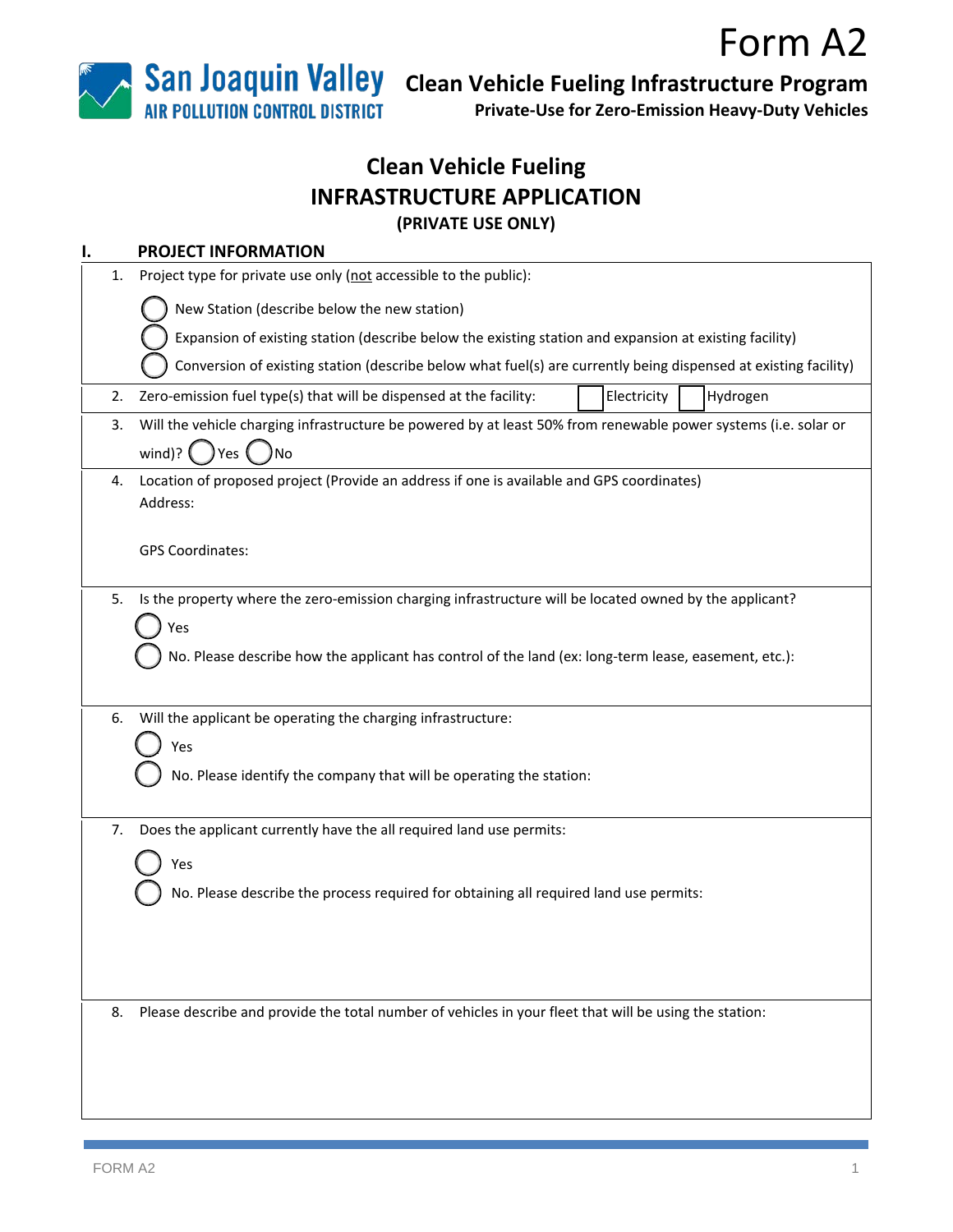

 **Clean Vehicle Fueling Infrastructure Program**

**Private-Use for Zero-Emission Heavy-Duty Vehicles**

# **Clean Vehicle Fueling INFRASTRUCTURE APPLICATION (PRIVATE USE ONLY)**

| ı.                                                                                                                                                                                                                           |    | <b>PROJECT INFORMATION</b>                                                                                                               |  |  |  |  |  |  |
|------------------------------------------------------------------------------------------------------------------------------------------------------------------------------------------------------------------------------|----|------------------------------------------------------------------------------------------------------------------------------------------|--|--|--|--|--|--|
|                                                                                                                                                                                                                              | 1. | Project type for private use only (not accessible to the public):                                                                        |  |  |  |  |  |  |
|                                                                                                                                                                                                                              |    | New Station (describe below the new station)                                                                                             |  |  |  |  |  |  |
|                                                                                                                                                                                                                              |    | Expansion of existing station (describe below the existing station and expansion at existing facility)                                   |  |  |  |  |  |  |
|                                                                                                                                                                                                                              |    | Conversion of existing station (describe below what fuel(s) are currently being dispensed at existing facility)                          |  |  |  |  |  |  |
|                                                                                                                                                                                                                              | 2. | Zero-emission fuel type(s) that will be dispensed at the facility:<br>Hydrogen<br>Electricity                                            |  |  |  |  |  |  |
|                                                                                                                                                                                                                              | 3. | Will the vehicle charging infrastructure be powered by at least 50% from renewable power systems (i.e. solar or<br>wind)?<br>Yes (<br>No |  |  |  |  |  |  |
|                                                                                                                                                                                                                              | 4. | Location of proposed project (Provide an address if one is available and GPS coordinates)<br>Address:<br><b>GPS Coordinates:</b>         |  |  |  |  |  |  |
| Is the property where the zero-emission charging infrastructure will be located owned by the applicant?<br>5.<br>Yes<br>No. Please describe how the applicant has control of the land (ex: long-term lease, easement, etc.): |    |                                                                                                                                          |  |  |  |  |  |  |
| Will the applicant be operating the charging infrastructure:<br>6.<br>Yes<br>No. Please identify the company that will be operating the station:                                                                             |    |                                                                                                                                          |  |  |  |  |  |  |
|                                                                                                                                                                                                                              | 7. | Does the applicant currently have the all required land use permits:                                                                     |  |  |  |  |  |  |
|                                                                                                                                                                                                                              |    | Yes<br>No. Please describe the process required for obtaining all required land use permits:                                             |  |  |  |  |  |  |
|                                                                                                                                                                                                                              | 8. | Please describe and provide the total number of vehicles in your fleet that will be using the station:                                   |  |  |  |  |  |  |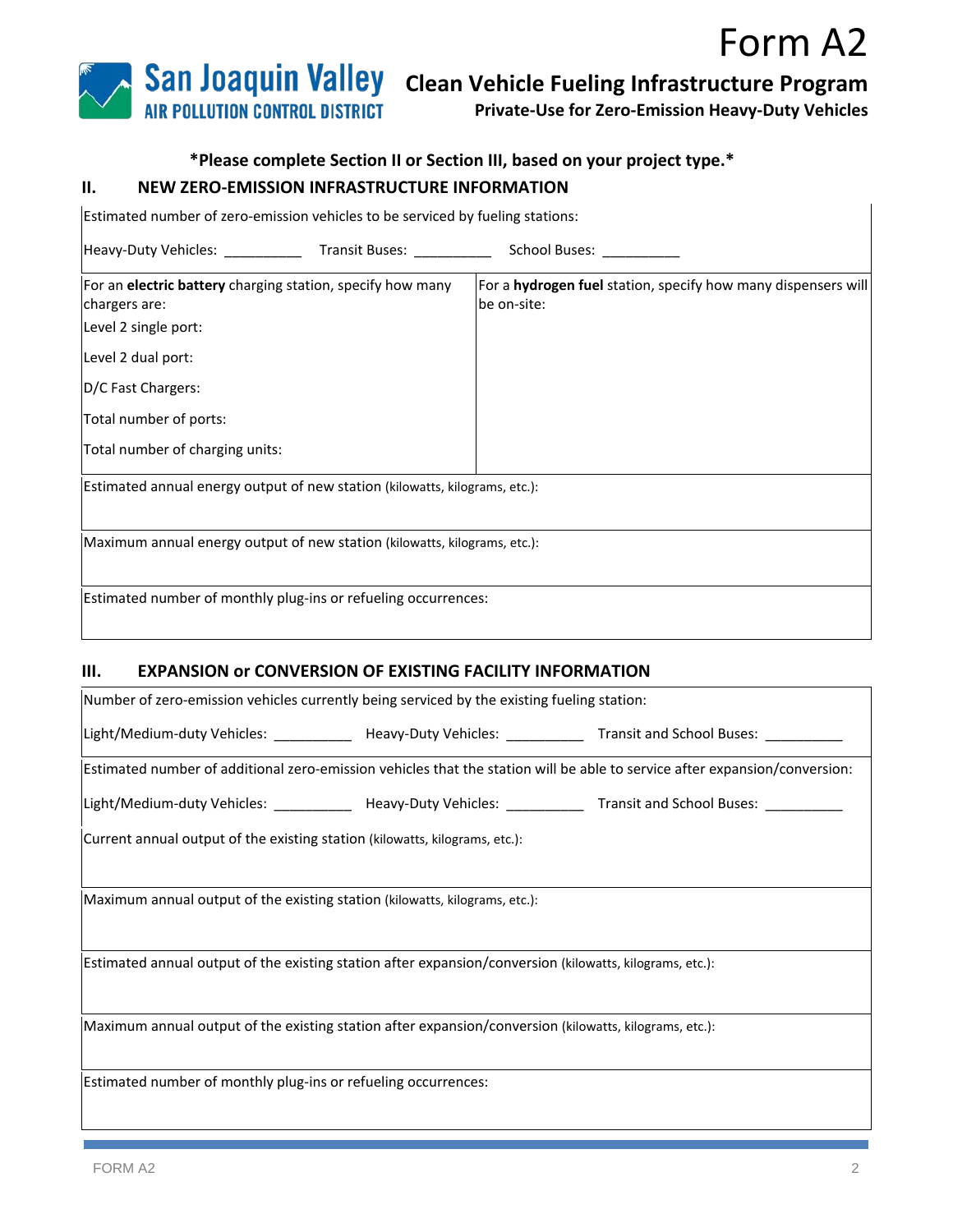

**Private-Use for Zero-Emission Heavy-Duty Vehicles**

# **\*Please complete Section II or Section III, based on your project type.\***

#### **II. NEW ZERO-EMISSION INFRASTRUCTURE INFORMATION**

| Estimated number of zero-emission vehicles to be serviced by fueling stations:                      |  |                                                                                     |  |  |
|-----------------------------------------------------------------------------------------------------|--|-------------------------------------------------------------------------------------|--|--|
| Heavy-Duty Vehicles: _________________Transit Buses: _____________                                  |  | School Buses: ___________                                                           |  |  |
| For an electric battery charging station, specify how many<br>chargers are:<br>Level 2 single port: |  | For a <b>hydrogen fuel</b> station, specify how many dispensers will<br>be on-site: |  |  |
| Level 2 dual port:                                                                                  |  |                                                                                     |  |  |
| D/C Fast Chargers:                                                                                  |  |                                                                                     |  |  |
| Total number of ports:                                                                              |  |                                                                                     |  |  |
| Total number of charging units:                                                                     |  |                                                                                     |  |  |
| Estimated annual energy output of new station (kilowatts, kilograms, etc.):                         |  |                                                                                     |  |  |
| Maximum annual energy output of new station (kilowatts, kilograms, etc.):                           |  |                                                                                     |  |  |
| Estimated number of monthly plug-ins or refueling occurrences:                                      |  |                                                                                     |  |  |

#### **III. EXPANSION or CONVERSION OF EXISTING FACILITY INFORMATION**

| Number of zero-emission vehicles currently being serviced by the existing fueling station:               |  |                                                                                                                            |  |  |  |
|----------------------------------------------------------------------------------------------------------|--|----------------------------------------------------------------------------------------------------------------------------|--|--|--|
|                                                                                                          |  | Light/Medium-duty Vehicles: _____________ Heavy-Duty Vehicles: ___________ Transit and School Buses: _________             |  |  |  |
|                                                                                                          |  | Estimated number of additional zero-emission vehicles that the station will be able to service after expansion/conversion: |  |  |  |
|                                                                                                          |  | Light/Medium-duty Vehicles: _____________ Heavy-Duty Vehicles: ___________ Transit and School Buses: _________             |  |  |  |
| Current annual output of the existing station (kilowatts, kilograms, etc.):                              |  |                                                                                                                            |  |  |  |
| Maximum annual output of the existing station (kilowatts, kilograms, etc.):                              |  |                                                                                                                            |  |  |  |
| Estimated annual output of the existing station after expansion/conversion (kilowatts, kilograms, etc.): |  |                                                                                                                            |  |  |  |
| Maximum annual output of the existing station after expansion/conversion (kilowatts, kilograms, etc.):   |  |                                                                                                                            |  |  |  |
| Estimated number of monthly plug-ins or refueling occurrences:                                           |  |                                                                                                                            |  |  |  |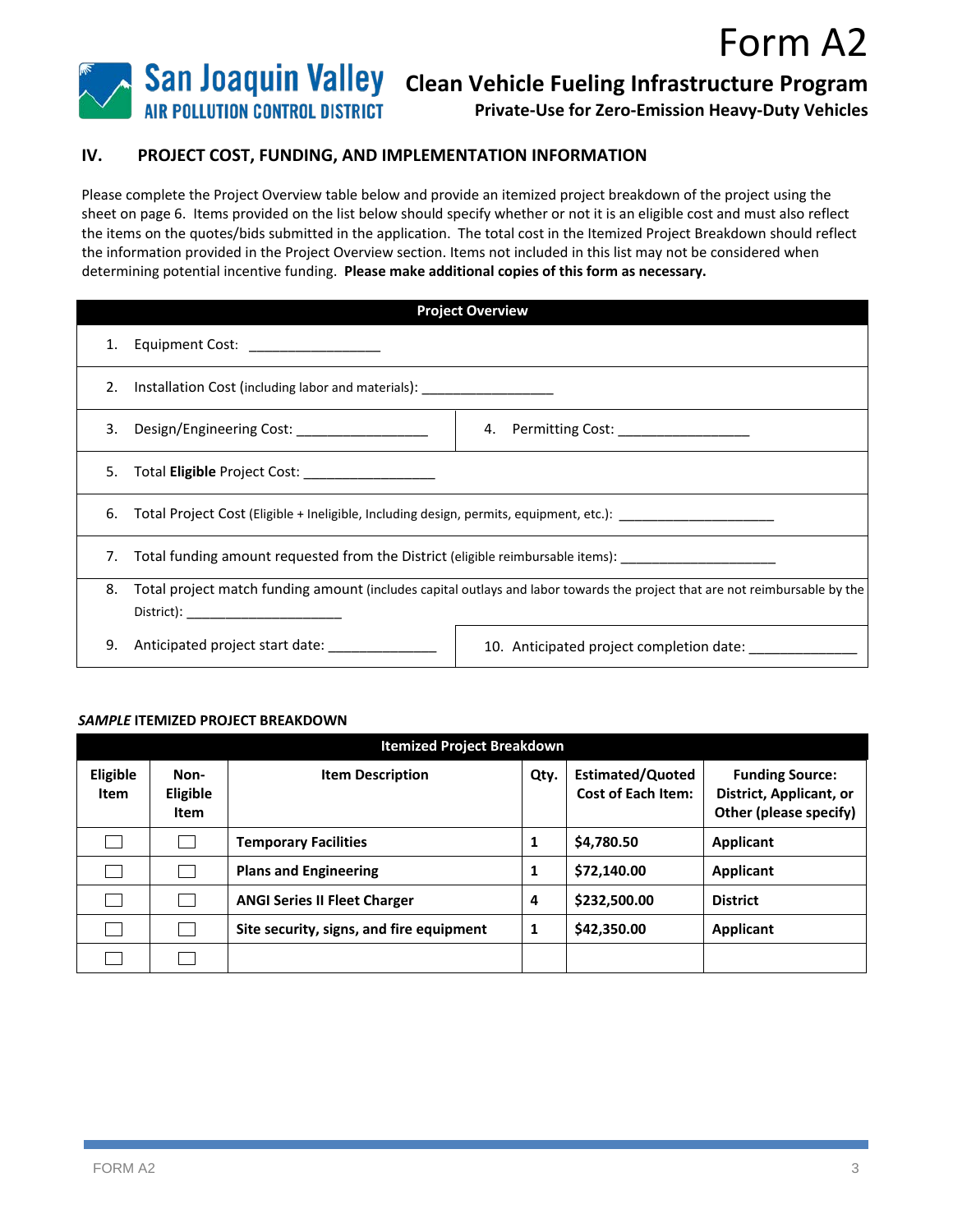

**Private-Use for Zero-Emission Heavy-Duty Vehicles**

### **IV. PROJECT COST, FUNDING, AND IMPLEMENTATION INFORMATION**

Please complete the Project Overview table below and provide an itemized project breakdown of the project using the sheet on page 6. Items provided on the list below should specify whether or not it is an eligible cost and must also reflect the items on the quotes/bids submitted in the application. The total cost in the Itemized Project Breakdown should reflect the information provided in the Project Overview section. Items not included in this list may not be considered when determining potential incentive funding. **Please make additional copies of this form as necessary.** 

| <b>Project Overview</b> |                                                                                                                             |                                          |  |  |
|-------------------------|-----------------------------------------------------------------------------------------------------------------------------|------------------------------------------|--|--|
|                         | 1. Equipment Cost: __________________                                                                                       |                                          |  |  |
|                         | 2. Installation Cost (including labor and materials): __________________                                                    |                                          |  |  |
|                         |                                                                                                                             | 4. Permitting Cost: ___________________  |  |  |
|                         | 5.<br>Total Eligible Project Cost: ___________________                                                                      |                                          |  |  |
|                         | 6. Total Project Cost (Eligible + Ineligible, Including design, permits, equipment, etc.): ___________________              |                                          |  |  |
| 7.                      | Total funding amount requested from the District (eligible reimbursable items): ___________________                         |                                          |  |  |
| 8.                      | Total project match funding amount (includes capital outlays and labor towards the project that are not reimbursable by the |                                          |  |  |
| 9.                      | Anticipated project start date:                                                                                             | 10. Anticipated project completion date: |  |  |

#### *SAMPLE* **ITEMIZED PROJECT BREAKDOWN**

| <b>Itemized Project Breakdown</b> |                          |                                          |      |                                                      |                                                                             |
|-----------------------------------|--------------------------|------------------------------------------|------|------------------------------------------------------|-----------------------------------------------------------------------------|
| Eligible<br><b>Item</b>           | Non-<br>Eligible<br>Item | <b>Item Description</b>                  | Qty. | <b>Estimated/Quoted</b><br><b>Cost of Each Item:</b> | <b>Funding Source:</b><br>District, Applicant, or<br>Other (please specify) |
|                                   |                          | <b>Temporary Facilities</b>              | 1    | \$4,780.50                                           | <b>Applicant</b>                                                            |
|                                   |                          | <b>Plans and Engineering</b>             | 1    | \$72,140.00                                          | <b>Applicant</b>                                                            |
|                                   |                          | <b>ANGI Series II Fleet Charger</b>      | 4    | \$232,500.00                                         | <b>District</b>                                                             |
|                                   |                          | Site security, signs, and fire equipment | 1    | \$42,350.00                                          | <b>Applicant</b>                                                            |
|                                   |                          |                                          |      |                                                      |                                                                             |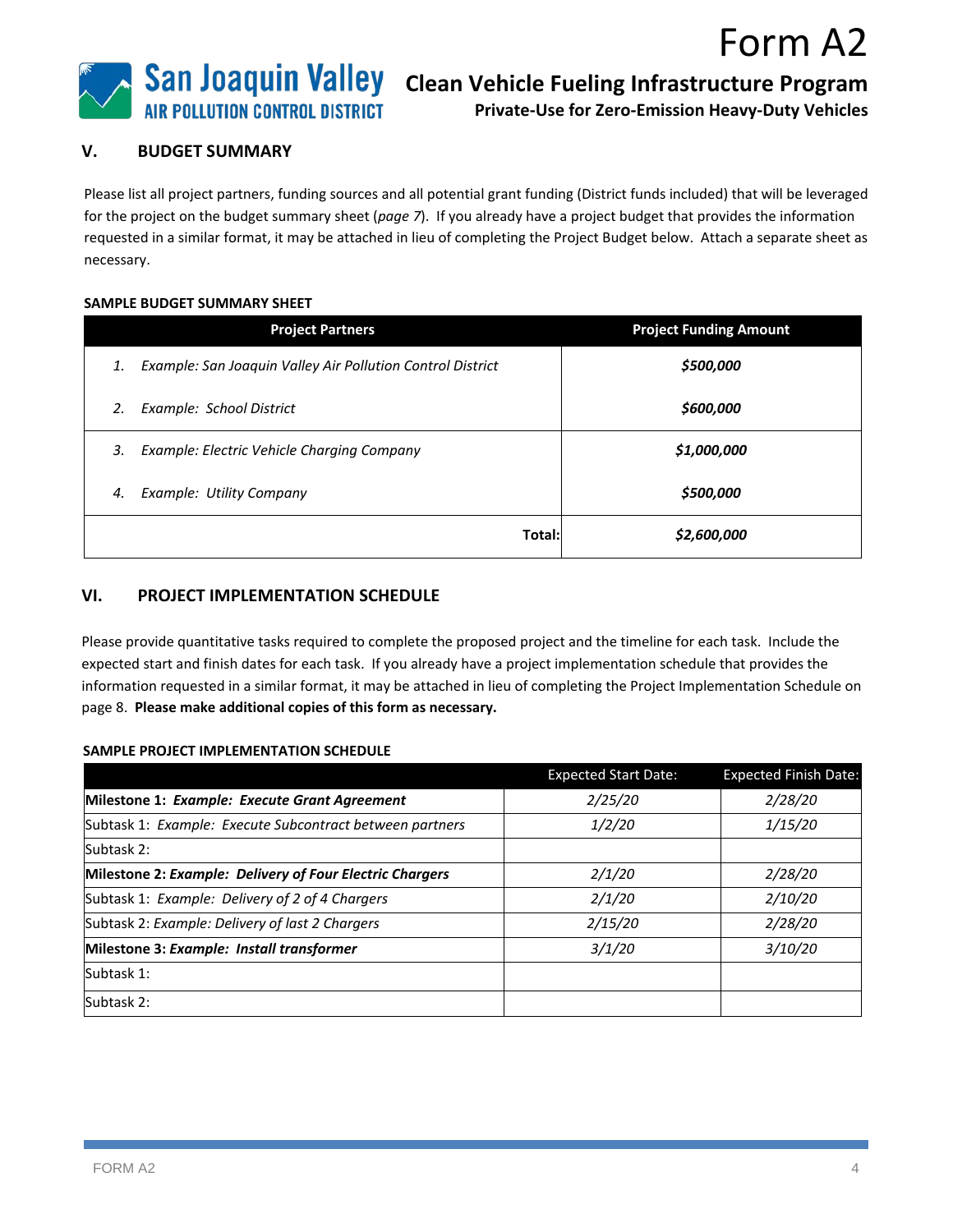

**San Joaquin Valley** Clean Vehicle Fueling Infrastructure Program

**Private-Use for Zero-Emission Heavy-Duty Vehicles**

#### **V. BUDGET SUMMARY**

Please list all project partners, funding sources and all potential grant funding (District funds included) that will be leveraged for the project on the budget summary sheet (*page 7*). If you already have a project budget that provides the information requested in a similar format, it may be attached in lieu of completing the Project Budget below. Attach a separate sheet as necessary.

#### **SAMPLE BUDGET SUMMARY SHEET**

| <b>Project Partners</b>                                          | <b>Project Funding Amount</b> |  |
|------------------------------------------------------------------|-------------------------------|--|
| Example: San Joaquin Valley Air Pollution Control District<br>1. | \$500,000                     |  |
| Example: School District<br>2.                                   | \$600,000                     |  |
| Example: Electric Vehicle Charging Company<br>3.                 | \$1,000,000                   |  |
| Example: Utility Company<br>4.                                   | \$500,000                     |  |
| Total:                                                           | \$2,600,000                   |  |

### **VI. PROJECT IMPLEMENTATION SCHEDULE**

Please provide quantitative tasks required to complete the proposed project and the timeline for each task. Include the expected start and finish dates for each task. If you already have a project implementation schedule that provides the information requested in a similar format, it may be attached in lieu of completing the Project Implementation Schedule on page 8. **Please make additional copies of this form as necessary.** 

#### **SAMPLE PROJECT IMPLEMENTATION SCHEDULE**

|                                                          | <b>Expected Start Date:</b> | <b>Expected Finish Date:</b> |
|----------------------------------------------------------|-----------------------------|------------------------------|
| Milestone 1: Example: Execute Grant Agreement            | 2/25/20                     | 2/28/20                      |
| Subtask 1: Example: Execute Subcontract between partners | 1/2/20                      | 1/15/20                      |
| Subtask 2:                                               |                             |                              |
| Milestone 2: Example: Delivery of Four Electric Chargers | 2/1/20                      | 2/28/20                      |
| Subtask 1: Example: Delivery of 2 of 4 Chargers          | 2/1/20                      | 2/10/20                      |
| Subtask 2: Example: Delivery of last 2 Chargers          | 2/15/20                     | 2/28/20                      |
| Milestone 3: Example: Install transformer                | 3/1/20                      | 3/10/20                      |
| Subtask 1:                                               |                             |                              |
| Subtask 2:                                               |                             |                              |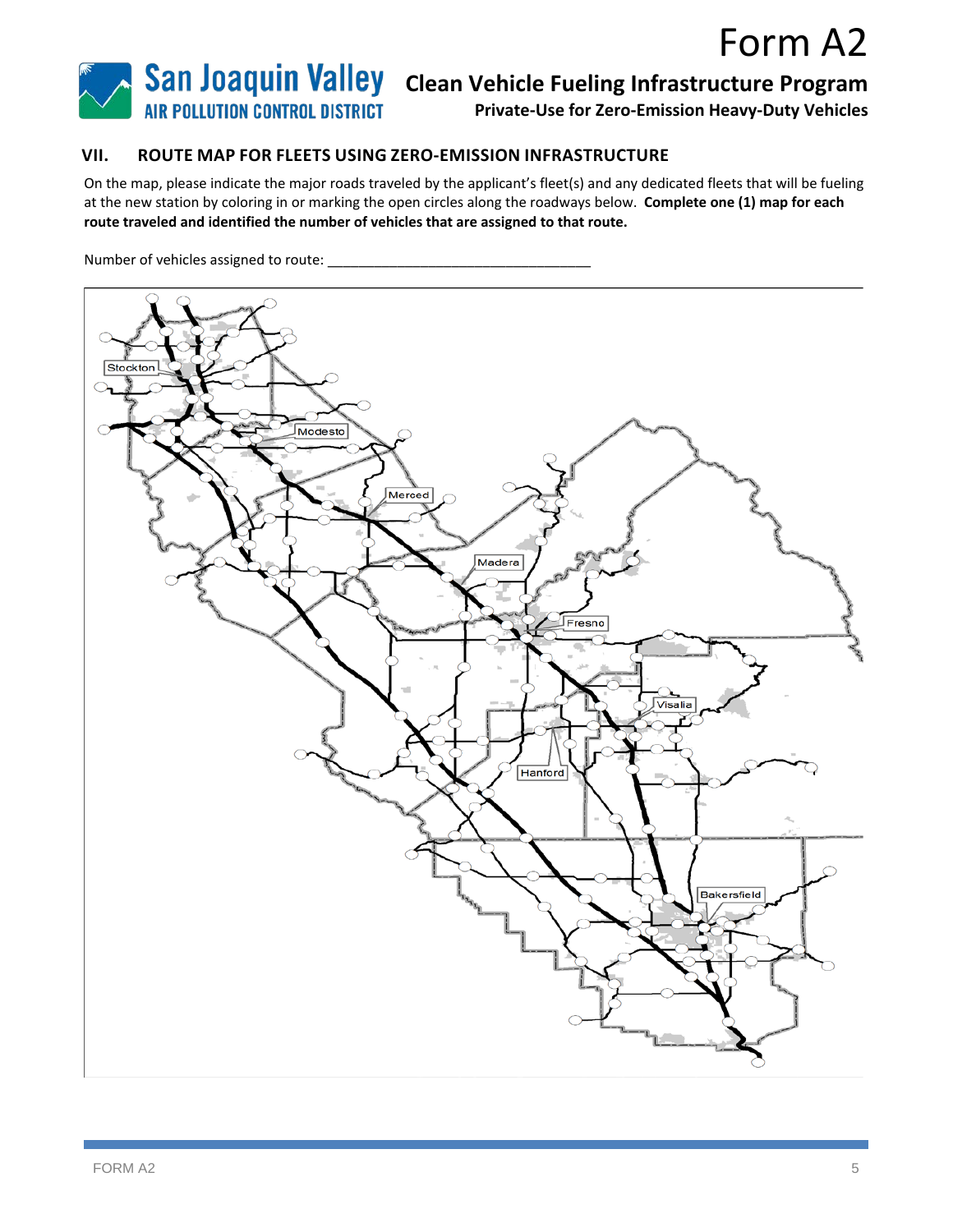

**Private-Use for Zero-Emission Heavy-Duty Vehicles**

### **VII. ROUTE MAP FOR FLEETS USING ZERO-EMISSION INFRASTRUCTURE**

On the map, please indicate the major roads traveled by the applicant's fleet(s) and any dedicated fleets that will be fueling at the new station by coloring in or marking the open circles along the roadways below. **Complete one (1) map for each route traveled and identified the number of vehicles that are assigned to that route.**

Number of vehicles assigned to route: \_\_\_\_\_\_\_\_\_\_\_\_\_\_\_\_\_\_\_\_\_\_\_\_\_\_\_\_\_\_\_\_\_\_

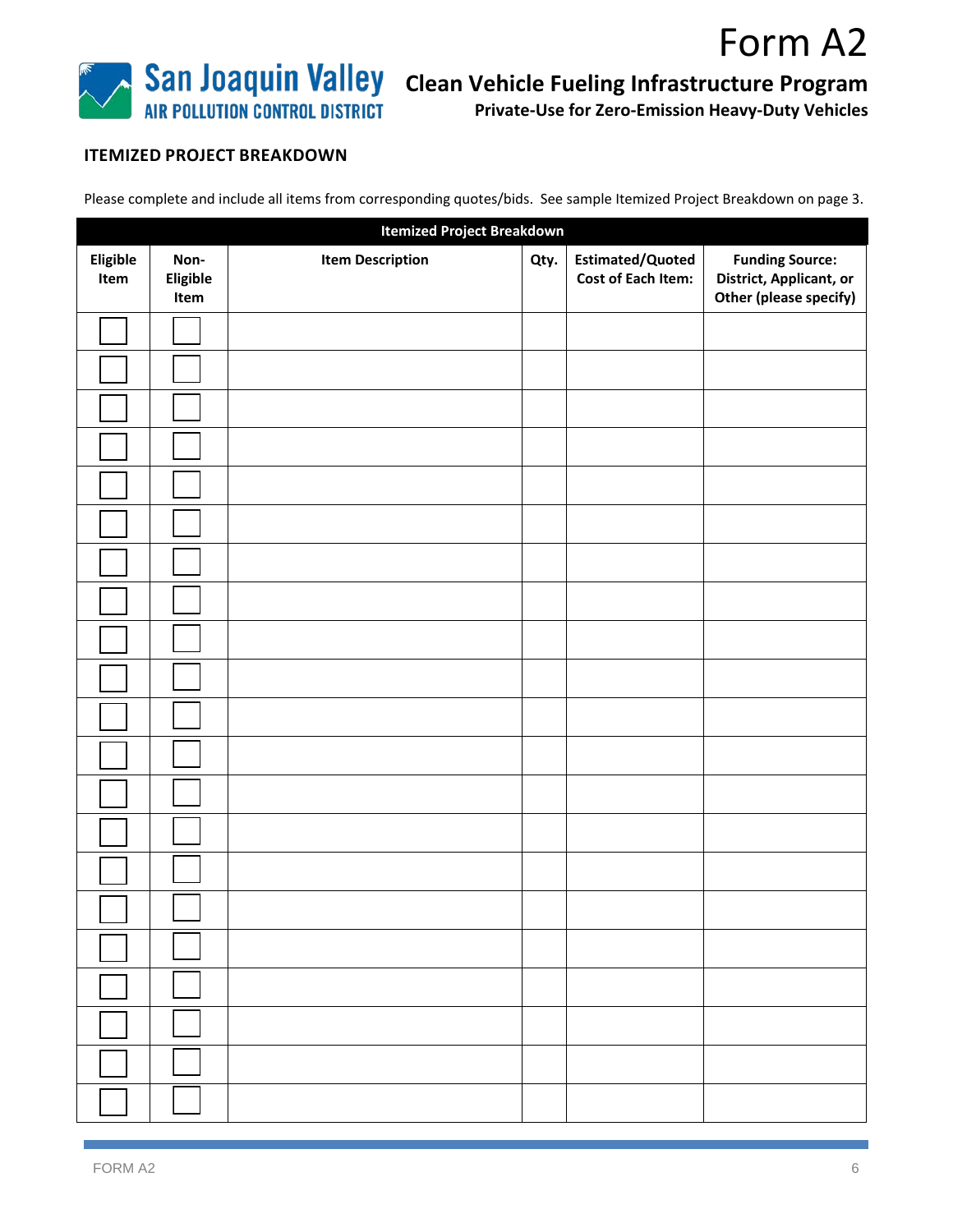![](_page_5_Picture_0.jpeg)

**Private-Use for Zero-Emission Heavy-Duty Vehicles**

Form A2

# **ITEMIZED PROJECT BREAKDOWN**

Please complete and include all items from corresponding quotes/bids. See sample Itemized Project Breakdown on page 3.

| <b>Itemized Project Breakdown</b> |                          |                         |      |                                               |                                                                             |
|-----------------------------------|--------------------------|-------------------------|------|-----------------------------------------------|-----------------------------------------------------------------------------|
| Eligible<br>Item                  | Non-<br>Eligible<br>Item | <b>Item Description</b> | Qty. | Estimated/Quoted<br><b>Cost of Each Item:</b> | <b>Funding Source:</b><br>District, Applicant, or<br>Other (please specify) |
|                                   |                          |                         |      |                                               |                                                                             |
|                                   |                          |                         |      |                                               |                                                                             |
|                                   |                          |                         |      |                                               |                                                                             |
|                                   |                          |                         |      |                                               |                                                                             |
|                                   |                          |                         |      |                                               |                                                                             |
|                                   |                          |                         |      |                                               |                                                                             |
|                                   |                          |                         |      |                                               |                                                                             |
|                                   |                          |                         |      |                                               |                                                                             |
|                                   |                          |                         |      |                                               |                                                                             |
|                                   |                          |                         |      |                                               |                                                                             |
|                                   |                          |                         |      |                                               |                                                                             |
|                                   |                          |                         |      |                                               |                                                                             |
|                                   |                          |                         |      |                                               |                                                                             |
|                                   |                          |                         |      |                                               |                                                                             |
|                                   |                          |                         |      |                                               |                                                                             |
|                                   |                          |                         |      |                                               |                                                                             |
|                                   |                          |                         |      |                                               |                                                                             |
|                                   |                          |                         |      |                                               |                                                                             |
|                                   |                          |                         |      |                                               |                                                                             |
|                                   |                          |                         |      |                                               |                                                                             |
|                                   |                          |                         |      |                                               |                                                                             |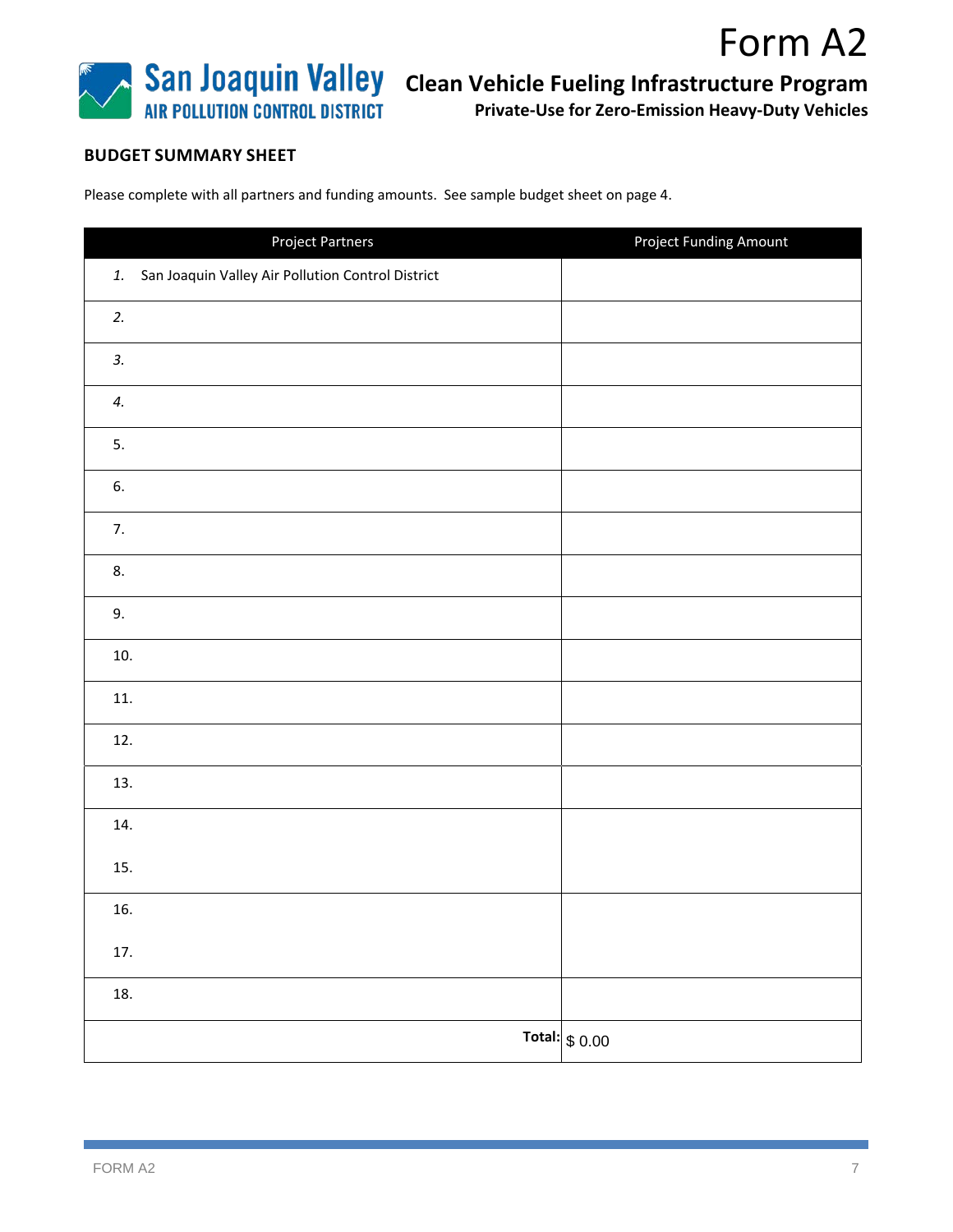![](_page_6_Picture_0.jpeg)

**Private-Use for Zero-Emission Heavy-Duty Vehicles**

Form A2

## **BUDGET SUMMARY SHEET**

Please complete with all partners and funding amounts. See sample budget sheet on page 4.

| Project Partners                                     | <b>Project Funding Amount</b> |
|------------------------------------------------------|-------------------------------|
| 1. San Joaquin Valley Air Pollution Control District |                               |
| 2.                                                   |                               |
| 3.                                                   |                               |
| 4.                                                   |                               |
| 5.                                                   |                               |
| 6.                                                   |                               |
| 7.                                                   |                               |
| 8.                                                   |                               |
| 9.                                                   |                               |
| 10.                                                  |                               |
| 11.                                                  |                               |
| 12.                                                  |                               |
| 13.                                                  |                               |
| 14.                                                  |                               |
| 15.                                                  |                               |
| 16.                                                  |                               |
| $17.$                                                |                               |
| $18. \,$                                             |                               |
|                                                      | Total: $$0.00$                |